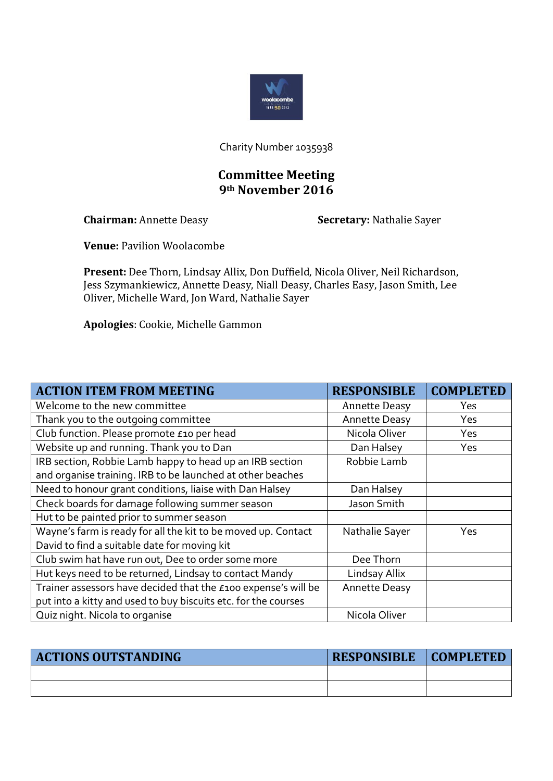

Charity Number 1035938

## **Committee Meeting 9th November 2016**

**Chairman:** Annette Deasy **Secretary:** Nathalie Sayer

**Venue:** Pavilion Woolacombe

**Present:** Dee Thorn, Lindsay Allix, Don Duffield, Nicola Oliver, Neil Richardson, Jess Szymankiewicz, Annette Deasy, Niall Deasy, Charles Easy, Jason Smith, Lee Oliver, Michelle Ward, Jon Ward, Nathalie Sayer

**Apologies**: Cookie, Michelle Gammon

| <b>ACTION ITEM FROM MEETING</b>                                | <b>RESPONSIBLE</b>   | <b>COMPLETED</b> |
|----------------------------------------------------------------|----------------------|------------------|
| Welcome to the new committee                                   | <b>Annette Deasy</b> | Yes              |
| Thank you to the outgoing committee                            | <b>Annette Deasy</b> | Yes              |
| Club function. Please promote £10 per head                     | Nicola Oliver        | <b>Yes</b>       |
| Website up and running. Thank you to Dan                       | Dan Halsey           | Yes              |
| IRB section, Robbie Lamb happy to head up an IRB section       | Robbie Lamb          |                  |
| and organise training. IRB to be launched at other beaches     |                      |                  |
| Need to honour grant conditions, liaise with Dan Halsey        | Dan Halsey           |                  |
| Check boards for damage following summer season                | Jason Smith          |                  |
| Hut to be painted prior to summer season                       |                      |                  |
| Wayne's farm is ready for all the kit to be moved up. Contact  | Nathalie Sayer       | Yes              |
| David to find a suitable date for moving kit                   |                      |                  |
| Club swim hat have run out, Dee to order some more             | Dee Thorn            |                  |
| Hut keys need to be returned, Lindsay to contact Mandy         | Lindsay Allix        |                  |
| Trainer assessors have decided that the £100 expense's will be | <b>Annette Deasy</b> |                  |
| put into a kitty and used to buy biscuits etc. for the courses |                      |                  |
| Quiz night. Nicola to organise                                 | Nicola Oliver        |                  |

| <b>ACTIONS OUTSTANDING</b> | <b>RESPONSIBLE</b> | COMPLETED |
|----------------------------|--------------------|-----------|
|                            |                    |           |
|                            |                    |           |